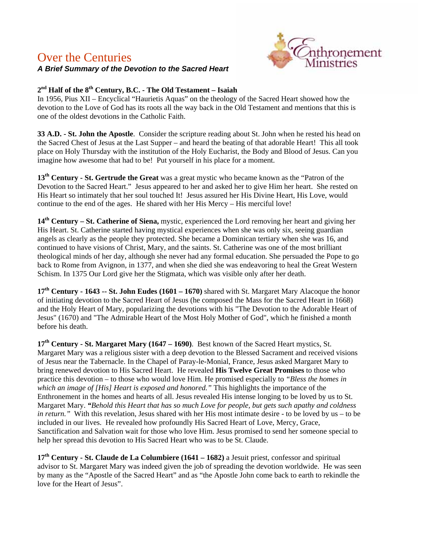## Over the Centuries



## *A Brief Summary of the Devotion to the Sacred Heart*

## **2nd Half of the 8th Century, B.C. - The Old Testament – Isaiah**

In 1956, Pius XII – Encyclical "Haurietis Aquas" on the theology of the Sacred Heart showed how the devotion to the Love of God has its roots all the way back in the Old Testament and mentions that this is one of the oldest devotions in the Catholic Faith.

**33 A.D. - St. John the Apostle**. Consider the scripture reading about St. John when he rested his head on the Sacred Chest of Jesus at the Last Supper – and heard the beating of that adorable Heart! This all took place on Holy Thursday with the institution of the Holy Eucharist, the Body and Blood of Jesus. Can you imagine how awesome that had to be! Put yourself in his place for a moment.

**13th Century - St. Gertrude the Great** was a great mystic who became known as the "Patron of the Devotion to the Sacred Heart." Jesus appeared to her and asked her to give Him her heart. She rested on His Heart so intimately that her soul touched It! Jesus assured her His Divine Heart, His Love, would continue to the end of the ages. He shared with her His Mercy – His merciful love!

**14th Century – St. Catherine of Siena,** mystic, experienced the Lord removing her heart and giving her His Heart. St. Catherine started having mystical experiences when she was only six, seeing guardian angels as clearly as the people they protected. She became a Dominican tertiary when she was 16, and continued to have visions of Christ, Mary, and the saints. St. Catherine was one of the most brilliant theological minds of her day, although she never had any formal education. She persuaded the Pope to go back to Rome from Avignon, in 1377, and when she died she was endeavoring to heal the Great Western Schism. In 1375 Our Lord give her the Stigmata, which was visible only after her death.

**17th Century - 1643 -- St. John Eudes (1601 – 1670)** shared with St. Margaret Mary Alacoque the honor of initiating devotion to the Sacred Heart of Jesus (he composed the Mass for the Sacred Heart in 1668) and the Holy Heart of Mary, popularizing the devotions with his "The Devotion to the Adorable Heart of Jesus" (1670) and "The Admirable Heart of the Most Holy Mother of God", which he finished a month before his death.

**17th Century - St. Margaret Mary (1647 – 1690)**. Best known of the Sacred Heart mystics, St. Margaret Mary was a religious sister with a deep devotion to the Blessed Sacrament and received visions of Jesus near the Tabernacle. In the Chapel of Paray-le-Monial, France, Jesus asked Margaret Mary to bring renewed devotion to His Sacred Heart. He revealed **His Twelve Great Promises** to those who practice this devotion – to those who would love Him. He promised especially to *"Bless the homes in which an image of [His] Heart is exposed and honored."* This highlights the importance of the Enthronement in the homes and hearts of all. Jesus revealed His intense longing to be loved by us to St. Margaret Mary. *"Behold this Heart that has so much Love for people, but gets such apathy and coldness in return."* With this revelation, Jesus shared with her His most intimate desire - to be loved by us – to be included in our lives. He revealed how profoundly His Sacred Heart of Love, Mercy, Grace, Sanctification and Salvation wait for those who love Him. Jesus promised to send her someone special to help her spread this devotion to His Sacred Heart who was to be St. Claude.

**17th Century - St. Claude de La Columbiere (1641 – 1682)** a Jesuit priest, confessor and spiritual advisor to St. Margaret Mary was indeed given the job of spreading the devotion worldwide. He was seen by many as the "Apostle of the Sacred Heart" and as "the Apostle John come back to earth to rekindle the love for the Heart of Jesus".